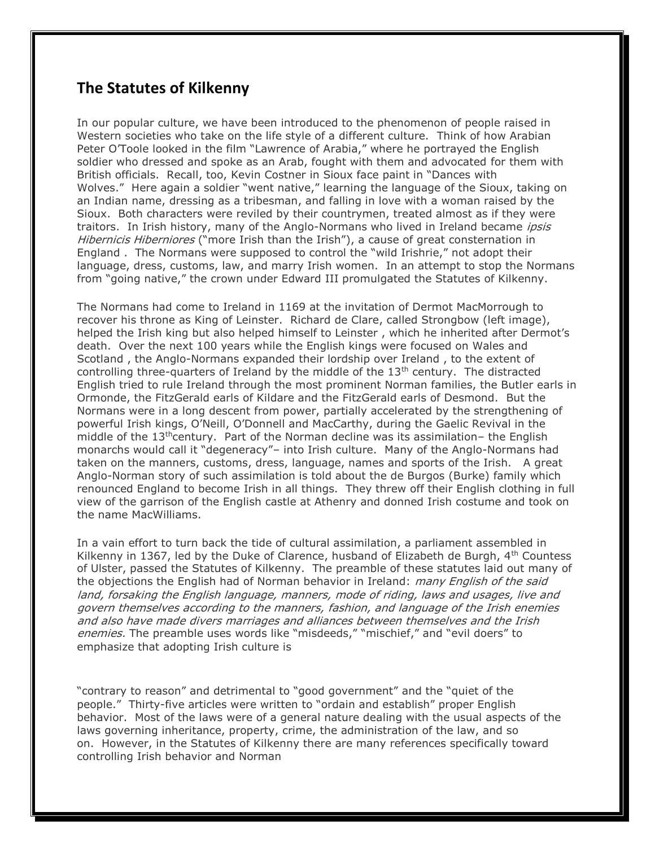## **The Statutes of Kilkenny**

In our popular culture, we have been introduced to the phenomenon of people raised in Western societies who take on the life style of a different culture. Think of how Arabian Peter O'Toole looked in the film "Lawrence of Arabia," where he portrayed the English soldier who dressed and spoke as an Arab, fought with them and advocated for them with British officials. Recall, too, Kevin Costner in Sioux face paint in "Dances with Wolves." Here again a soldier "went native," learning the language of the Sioux, taking on an Indian name, dressing as a tribesman, and falling in love with a woman raised by the Sioux. Both characters were reviled by their countrymen, treated almost as if they were traitors. In Irish history, many of the Anglo-Normans who lived in Ireland became *ipsis* Hibernicis Hiberniores ("more Irish than the Irish"), a cause of great consternation in England . The Normans were supposed to control the "wild Irishrie," not adopt their language, dress, customs, law, and marry Irish women. In an attempt to stop the Normans from "going native," the crown under Edward III promulgated the Statutes of Kilkenny.

The Normans had come to Ireland in 1169 at the invitation of Dermot MacMorrough to recover his throne as King of Leinster. Richard de Clare, called Strongbow (left image), helped the Irish king but also helped himself to Leinster , which he inherited after Dermot's death. Over the next 100 years while the English kings were focused on Wales and Scotland , the Anglo-Normans expanded their lordship over Ireland , to the extent of controlling three-quarters of Ireland by the middle of the  $13<sup>th</sup>$  century. The distracted English tried to rule Ireland through the most prominent Norman families, the Butler earls in Ormonde, the FitzGerald earls of Kildare and the FitzGerald earls of Desmond. But the Normans were in a long descent from power, partially accelerated by the strengthening of powerful Irish kings, O'Neill, O'Donnell and MacCarthy, during the Gaelic Revival in the middle of the  $13<sup>th</sup>$ century. Part of the Norman decline was its assimilation– the English monarchs would call it "degeneracy"– into Irish culture. Many of the Anglo-Normans had taken on the manners, customs, dress, language, names and sports of the Irish. A great Anglo-Norman story of such assimilation is told about the de Burgos (Burke) family which renounced England to become Irish in all things. They threw off their English clothing in full view of the garrison of the English castle at Athenry and donned Irish costume and took on the name MacWilliams.

In a vain effort to turn back the tide of cultural assimilation, a parliament assembled in Kilkenny in 1367, led by the Duke of Clarence, husband of Elizabeth de Burgh, 4<sup>th</sup> Countess of Ulster, passed the Statutes of Kilkenny. The preamble of these statutes laid out many of the objections the English had of Norman behavior in Ireland: *many English of the said* land, forsaking the English language, manners, mode of riding, laws and usages, live and govern themselves according to the manners, fashion, and language of the Irish enemies and also have made divers marriages and alliances between themselves and the Irish enemies. The preamble uses words like "misdeeds," "mischief," and "evil doers" to emphasize that adopting Irish culture is

"contrary to reason" and detrimental to "good government" and the "quiet of the people." Thirty-five articles were written to "ordain and establish" proper English behavior. Most of the laws were of a general nature dealing with the usual aspects of the laws governing inheritance, property, crime, the administration of the law, and so on. However, in the Statutes of Kilkenny there are many references specifically toward controlling Irish behavior and Norman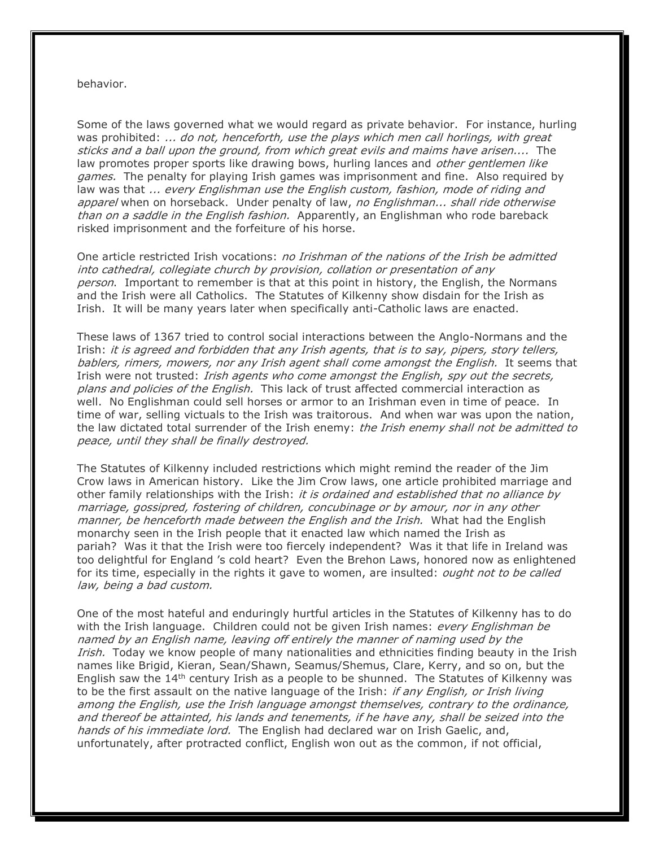## behavior.

Some of the laws governed what we would regard as private behavior. For instance, hurling was prohibited: ... do not, henceforth, use the plays which men call horlings, with great sticks and a ball upon the ground, from which great evils and maims have arisen.... The law promotes proper sports like drawing bows, hurling lances and *other gentlemen like* games. The penalty for playing Irish games was imprisonment and fine. Also required by law was that ... every Englishman use the English custom, fashion, mode of riding and apparel when on horseback. Under penalty of law, no Englishman... shall ride otherwise than on a saddle in the English fashion. Apparently, an Englishman who rode bareback risked imprisonment and the forfeiture of his horse.

One article restricted Irish vocations: *no Irishman of the nations of the Irish be admitted* into cathedral, collegiate church by provision, collation or presentation of any person. Important to remember is that at this point in history, the English, the Normans and the Irish were all Catholics. The Statutes of Kilkenny show disdain for the Irish as Irish. It will be many years later when specifically anti-Catholic laws are enacted.

These laws of 1367 tried to control social interactions between the Anglo-Normans and the Irish: it is agreed and forbidden that any Irish agents, that is to say, pipers, story tellers, bablers, rimers, mowers, nor any Irish agent shall come amongst the English. It seems that Irish were not trusted: Irish agents who come amongst the English, spy out the secrets, plans and policies of the English. This lack of trust affected commercial interaction as well. No Englishman could sell horses or armor to an Irishman even in time of peace. In time of war, selling victuals to the Irish was traitorous. And when war was upon the nation, the law dictated total surrender of the Irish enemy: the Irish enemy shall not be admitted to peace, until they shall be finally destroyed.

The Statutes of Kilkenny included restrictions which might remind the reader of the Jim Crow laws in American history. Like the Jim Crow laws, one article prohibited marriage and other family relationships with the Irish: it is ordained and established that no alliance by marriage, gossipred, fostering of children, concubinage or by amour, nor in any other manner, be henceforth made between the English and the Irish. What had the English monarchy seen in the Irish people that it enacted law which named the Irish as pariah? Was it that the Irish were too fiercely independent? Was it that life in Ireland was too delightful for England 's cold heart? Even the Brehon Laws, honored now as enlightened for its time, especially in the rights it gave to women, are insulted: *ought not to be called* law, being a bad custom.

One of the most hateful and enduringly hurtful articles in the Statutes of Kilkenny has to do with the Irish language. Children could not be given Irish names: *every Englishman be* named by an English name, leaving off entirely the manner of naming used by the Irish. Today we know people of many nationalities and ethnicities finding beauty in the Irish names like Brigid, Kieran, Sean/Shawn, Seamus/Shemus, Clare, Kerry, and so on, but the English saw the  $14<sup>th</sup>$  century Irish as a people to be shunned. The Statutes of Kilkenny was to be the first assault on the native language of the Irish: *if any English, or Irish living* among the English, use the Irish language amongst themselves, contrary to the ordinance, and thereof be attainted, his lands and tenements, if he have any, shall be seized into the hands of his immediate lord. The English had declared war on Irish Gaelic, and, unfortunately, after protracted conflict, English won out as the common, if not official,